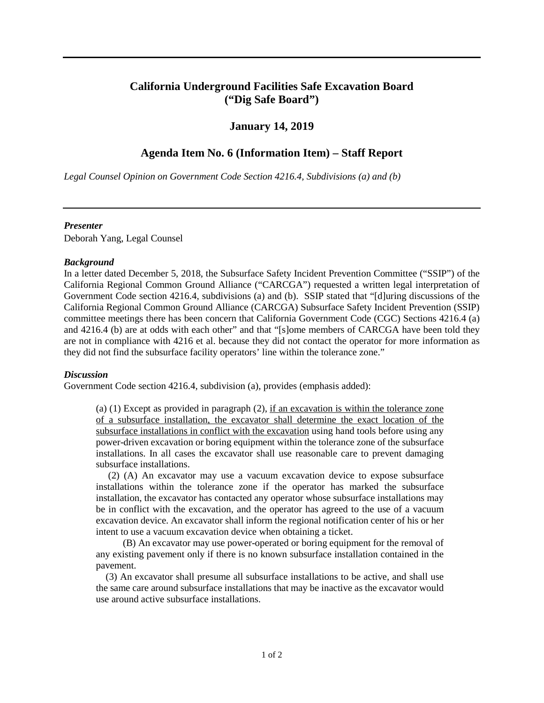# **California Underground Facilities Safe Excavation Board ("Dig Safe Board")**

## **January 14, 2019**

# **Agenda Item No. 6 (Information Item) – Staff Report**

*Legal Counsel Opinion on Government Code Section 4216.4, Subdivisions (a) and (b)* 

#### *Presenter*

Deborah Yang, Legal Counsel

### *Background*

 Government Code section 4216.4, subdivisions (a) and (b). SSIP stated that "[d]uring discussions of the and 4216.4 (b) are at odds with each other" and that "[s]ome members of CARCGA have been told they they did not find the subsurface facility operators' line within the tolerance zone." In a letter dated December 5, 2018, the Subsurface Safety Incident Prevention Committee ("SSIP") of the California Regional Common Ground Alliance ("CARCGA") requested a written legal interpretation of California Regional Common Ground Alliance (CARCGA) Subsurface Safety Incident Prevention (SSIP) committee meetings there has been concern that California Government Code (CGC) Sections 4216.4 (a) are not in compliance with 4216 et al. because they did not contact the operator for more information as

#### *Discussion*

Government Code section 4216.4, subdivision (a), provides (emphasis added):

(a)  $(1)$  Except as provided in paragraph  $(2)$ , if an excavation is within the tolerance zone of a subsurface installation, the excavator shall determine the exact location of the subsurface installations in conflict with the excavation using hand tools before using any power-driven excavation or boring equipment within the tolerance zone of the subsurface installations. In all cases the excavator shall use reasonable care to prevent damaging subsurface installations.

 (2) (A) An excavator may use a vacuum excavation device to expose subsurface installations within the tolerance zone if the operator has marked the subsurface installation, the excavator has contacted any operator whose subsurface installations may be in conflict with the excavation, and the operator has agreed to the use of a vacuum excavation device. An excavator shall inform the regional notification center of his or her intent to use a vacuum excavation device when obtaining a ticket.

 (B) An excavator may use power-operated or boring equipment for the removal of any existing pavement only if there is no known subsurface installation contained in the pavement.

 (3) An excavator shall presume all subsurface installations to be active, and shall use the same care around subsurface installations that may be inactive as the excavator would use around active subsurface installations.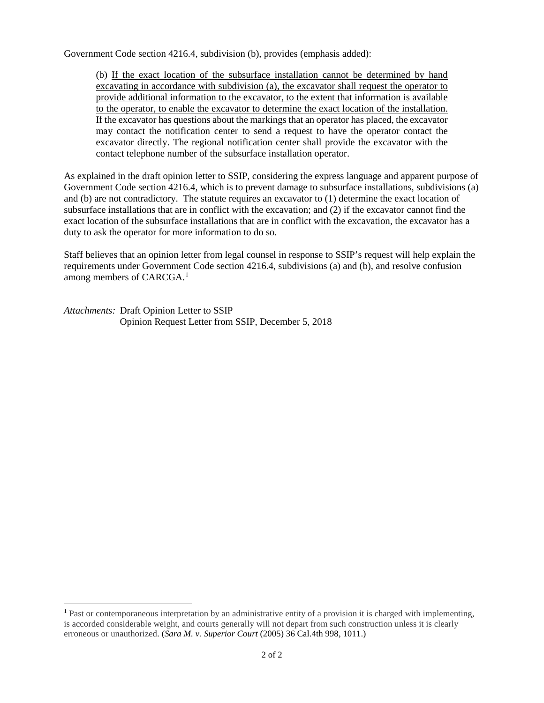Government Code section 4216.4, subdivision (b), provides (emphasis added):

excavating in accordance with subdivision (a), the excavator shall request the operator to provide additional information to the excavator, to the extent that information is available If the excavator has questions about the markings that an operator has placed, the excavator excavator directly. The regional notification center shall provide the excavator with the (b) If the exact location of the subsurface installation cannot be determined by hand to the operator, to enable the excavator to determine the exact location of the installation. may contact the notification center to send a request to have the operator contact the contact telephone number of the subsurface installation operator.

 Government Code section 4216.4, which is to prevent damage to subsurface installations, subdivisions (a) and (b) are not contradictory. The statute requires an excavator to (1) determine the exact location of subsurface installations that are in conflict with the excavation; and (2) if the excavator cannot find the exact location of the subsurface installations that are in conflict with the excavation, the excavator has a duty to ask the operator for more information to do so. As explained in the draft opinion letter to SSIP, considering the express language and apparent purpose of

Staff believes that an opinion letter from legal counsel in response to SSIP's request will help explain the requirements under Government Code section 4216.4, subdivisions (a) and (b), and resolve confusion among members of CARCGA. [1](#page-1-0)

*Attachments:* Draft Opinion Letter to SSIP Opinion Request Letter from SSIP, December 5, 2018

<u>.</u>

<span id="page-1-0"></span> is accorded considerable weight, and courts generally will not depart from such construction unless it is clearly erroneous or unauthorized. (*Sara M. v. Superior Court* (2005) 36 Cal.4th 998, 1011.) 2 of 2 <sup>1</sup> Past or contemporaneous interpretation by an administrative entity of a provision it is charged with implementing,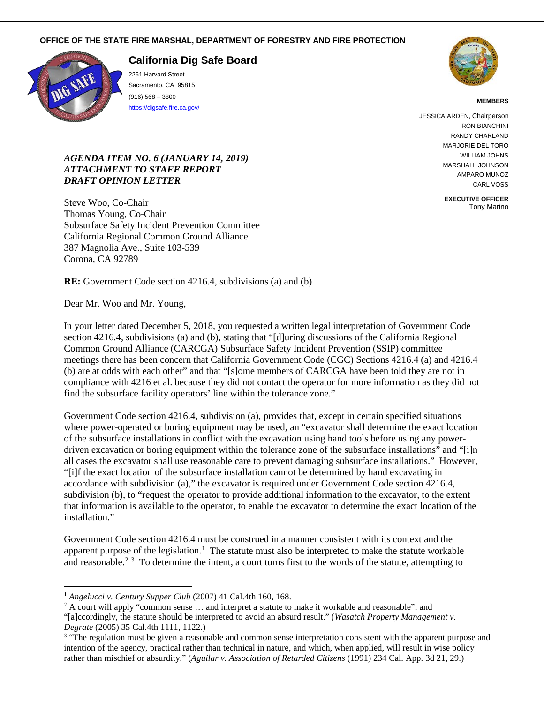#### **OFFICE OF THE STATE FIRE MARSHAL, DEPARTMENT OF FORESTRY AND FIRE PROTECTION**



 $\overline{a}$ 

**California Dig Safe Board** 

2251 Harvard Street Sacramento, CA 95815 (916) 568 – 3800 <https://digsafe.fire.ca.gov/>



#### **MEMBERS**

JESSICA ARDEN, Chairperson RON BIANCHINI RANDY CHARLAND MARJORIE DEL TORO WILLIAM JOHNS MARSHALL JOHNSON AMPARO MUNOZ CARL VOSS

> **EXECUTIVE OFFICER**  Tony Marino

# *ATTACHMENT TO STAFF REPORT DRAFT OPINION LETTER AGENDA ITEM NO. 6 (JANUARY 14, 2019)*

 387 Magnolia Ave., Suite 103-539 Steve Woo, Co-Chair Thomas Young, Co-Chair Subsurface Safety Incident Prevention Committee California Regional Common Ground Alliance Corona, CA 92789

**RE:** Government Code section 4216.4, subdivisions (a) and (b)

Dear Mr. Woo and Mr. Young,

 section 4216.4, subdivisions (a) and (b), stating that "[d]uring discussions of the California Regional compliance with 4216 et al. because they did not contact the operator for more information as they did not find the subsurface facility operators' line within the tolerance zone." In your letter dated December 5, 2018, you requested a written legal interpretation of Government Code Common Ground Alliance (CARCGA) Subsurface Safety Incident Prevention (SSIP) committee meetings there has been concern that California Government Code (CGC) Sections 4216.4 (a) and 4216.4 (b) are at odds with each other" and that "[s]ome members of CARCGA have been told they are not in

 all cases the excavator shall use reasonable care to prevent damaging subsurface installations." However, "[i]f the exact location of the subsurface installation cannot be determined by hand excavating in subdivision (b), to "request the operator to provide additional information to the excavator, to the extent Government Code section 4216.4, subdivision (a), provides that, except in certain specified situations where power-operated or boring equipment may be used, an "excavator shall determine the exact location of the subsurface installations in conflict with the excavation using hand tools before using any powerdriven excavation or boring equipment within the tolerance zone of the subsurface installations" and "[i]n accordance with subdivision (a)," the excavator is required under Government Code section 4216.4, that information is available to the operator, to enable the excavator to determine the exact location of the installation."

 Government Code section 4216.4 must be construed in a manner consistent with its context and the apparent purpose of the legislation.<sup>1</sup> The statute must also be interpreted to make the statute workable and reasonable.<sup>[2](#page-2-1) [3](#page-2-2)</sup> To determine the intent, a court turns first to the words of the statute, attempting to

Degrate (2005) 35 Cal.4th 1111, 1122.) "[a]ccordingly, the statute should be interpreted to avoid an absurd result." (*Wasatch Property Management v.* 

<span id="page-2-1"></span><span id="page-2-0"></span>

<sup>&</sup>lt;sup>1</sup> Angelucci v. Century Supper Club (2007) 41 Cal.4th 160, 168.<br><sup>2</sup> A court will apply "common sense ... and interpret a statute to make it workable and reasonable"; and

<span id="page-2-2"></span> intention of the agency, practical rather than technical in nature, and which, when applied, will result in wise policy rather than mischief or absurdity." (*Aguilar v. Association of Retarded Citizens* (1991) 234 Cal. App. 3d 21, 29.) <sup>3</sup> "The regulation must be given a reasonable and common sense interpretation consistent with the apparent purpose and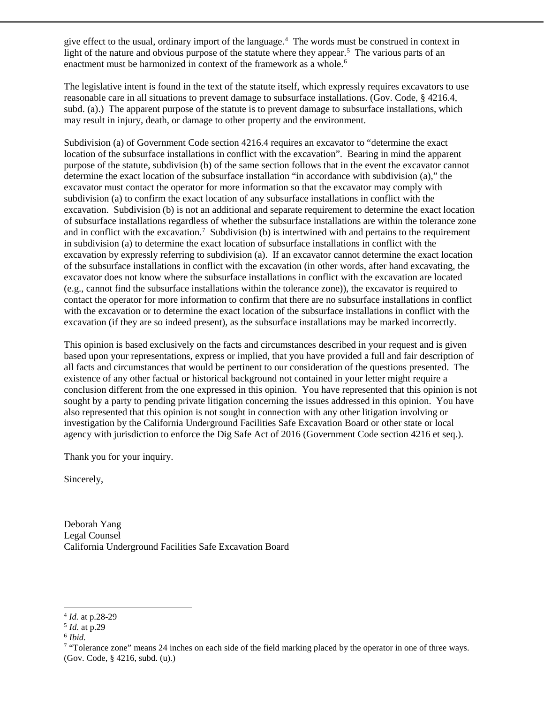give effect to the usual, ordinary import of the language.<sup>[4](#page-3-0)</sup> The words must be construed in context in light of the nature and obvious purpose of the statute where they appear.<sup>5</sup> The various parts of an enactment must be harmonized in context of the framework as a whole.<sup>6</sup>

 The legislative intent is found in the text of the statute itself, which expressly requires excavators to use subd. (a).) The apparent purpose of the statute is to prevent damage to subsurface installations, which reasonable care in all situations to prevent damage to subsurface installations. (Gov. Code, § 4216.4, may result in injury, death, or damage to other property and the environment.

 location of the subsurface installations in conflict with the excavation". Bearing in mind the apparent purpose of the statute, subdivision (b) of the same section follows that in the event the excavator cannot determine the exact location of the subsurface installation "in accordance with subdivision (a)," the excavator must contact the operator for more information so that the excavator may comply with excavation. Subdivision (b) is not an additional and separate requirement to determine the exact location and in conflict with the excavation.<sup>[7](#page-3-3)</sup> Subdivision (b) is intertwined with and pertains to the requirement excavator does not know where the subsurface installations in conflict with the excavation are located (e.g., cannot find the subsurface installations within the tolerance zone)), the excavator is required to contact the operator for more information to confirm that there are no subsurface installations in conflict excavation (if they are so indeed present), as the subsurface installations may be marked incorrectly. Subdivision (a) of Government Code section 4216.4 requires an excavator to "determine the exact subdivision (a) to confirm the exact location of any subsurface installations in conflict with the of subsurface installations regardless of whether the subsurface installations are within the tolerance zone in subdivision (a) to determine the exact location of subsurface installations in conflict with the excavation by expressly referring to subdivision (a). If an excavator cannot determine the exact location of the subsurface installations in conflict with the excavation (in other words, after hand excavating, the with the excavation or to determine the exact location of the subsurface installations in conflict with the

 excavation (if they are so indeed present), as the subsurface installations may be marked incorrectly. This opinion is based exclusively on the facts and circumstances described in your request and is given based upon your representations, express or implied, that you have provided a full and fair description of all facts and circumstances that would be pertinent to our consideration of the questions presented. The existence of any other factual or historical background not contained in your letter might require a conclusion different from the one expressed in this opinion. You have represented that this opinion is not also represented that this opinion is not sought in connection with any other litigation involving or investigation by the California Underground Facilities Safe Excavation Board or other state or local sought by a party to pending private litigation concerning the issues addressed in this opinion. You have agency with jurisdiction to enforce the Dig Safe Act of 2016 (Government Code section 4216 et seq.).

Thank you for your inquiry.

Sincerely,

Deborah Yang Legal Counsel California Underground Facilities Safe Excavation Board

 $\overline{a}$ <sup>4</sup> *Id.* at p.28-29<br><sup>5</sup> *Id.* at p.29<br><sup>6</sup> *Ibid.* 

<span id="page-3-1"></span><span id="page-3-0"></span> $5$  *Id.* at p.29

<span id="page-3-2"></span> $^6$  Ibid.

<span id="page-3-3"></span><sup>&</sup>lt;sup>7</sup> "Tolerance zone" means 24 inches on each side of the field marking placed by the operator in one of three ways. (Gov. Code, § 4216, subd. (u).)